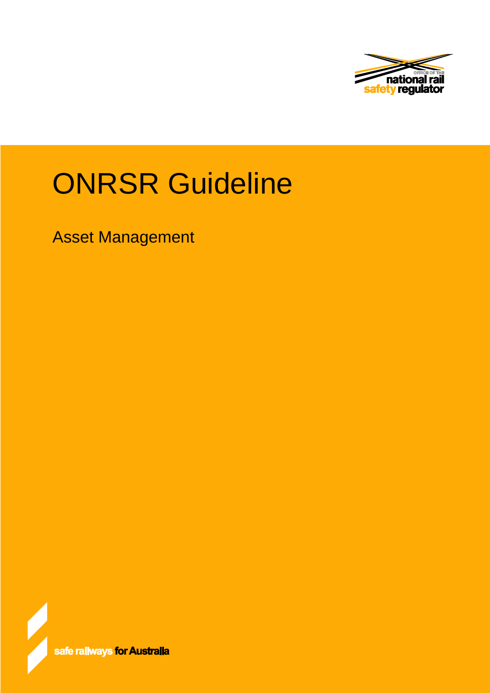

# ONRSR Guideline

Asset Management

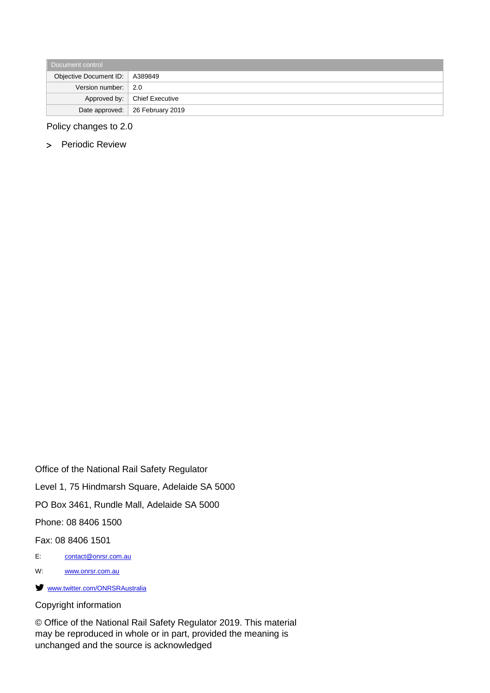| Document control                 |                                   |  |
|----------------------------------|-----------------------------------|--|
| Objective Document ID:   A389849 |                                   |  |
| Version number: $\vert$ 2.0      |                                   |  |
|                                  | Approved by:   Chief Executive    |  |
|                                  | Date approved:   26 February 2019 |  |

Policy changes to 2.0

> Periodic Review

Office of the National Rail Safety Regulator Level 1, 75 Hindmarsh Square, Adelaide SA 5000 PO Box 3461, Rundle Mall, Adelaide SA 5000 Phone: 08 8406 1500 Fax: 08 8406 1501 E: [contact@onrsr.com.au](mailto:contact@onrsr.com.au) W: [www.onrsr.com.au](http://www.onrsr.com.au/) **Www.twitter.com/ONRSRAustralia** 

#### Copyright information

© Office of the National Rail Safety Regulator 2019. This material may be reproduced in whole or in part, provided the meaning is unchanged and the source is acknowledged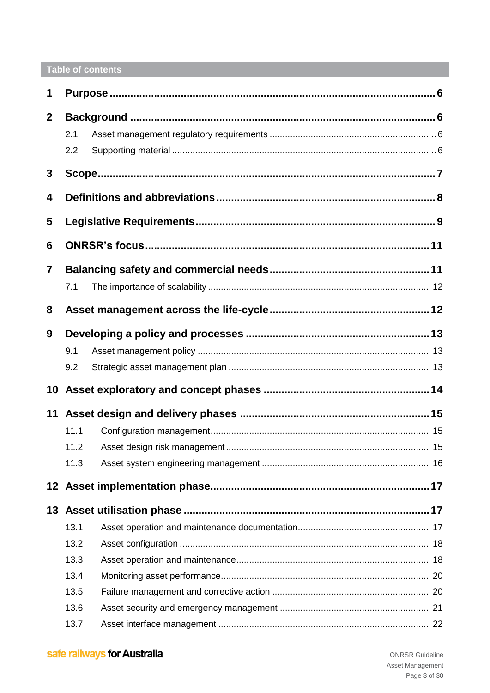# Table of contents

| 1              |      |  |  |
|----------------|------|--|--|
| $\mathbf{2}$   |      |  |  |
|                | 2.1  |  |  |
|                | 2.2  |  |  |
| 3              |      |  |  |
| 4              |      |  |  |
| 5              |      |  |  |
| 6              |      |  |  |
| $\overline{7}$ |      |  |  |
|                | 7.1  |  |  |
| 8              |      |  |  |
| 9              |      |  |  |
|                | 9.1  |  |  |
|                | 9.2  |  |  |
|                |      |  |  |
| 11             |      |  |  |
|                | 11.1 |  |  |
|                | 11.2 |  |  |
|                | 11.3 |  |  |
|                |      |  |  |
|                |      |  |  |
|                | 13.1 |  |  |
|                | 13.2 |  |  |
|                | 13.3 |  |  |
|                | 13.4 |  |  |
|                | 13.5 |  |  |
|                | 13.6 |  |  |
|                | 13.7 |  |  |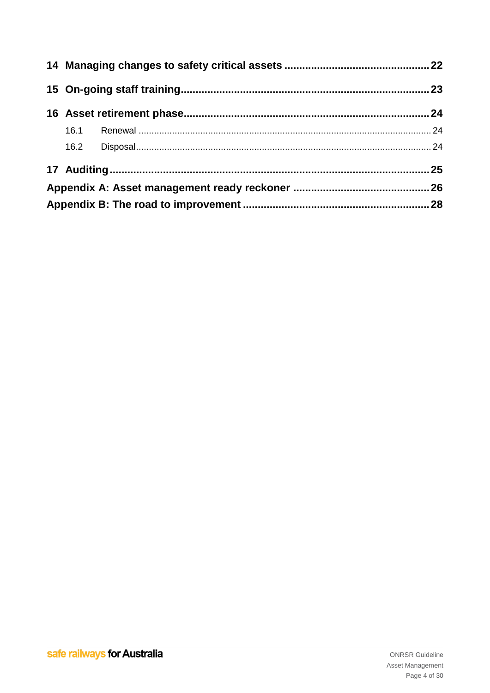| 16.2 |  |
|------|--|
|      |  |
|      |  |
|      |  |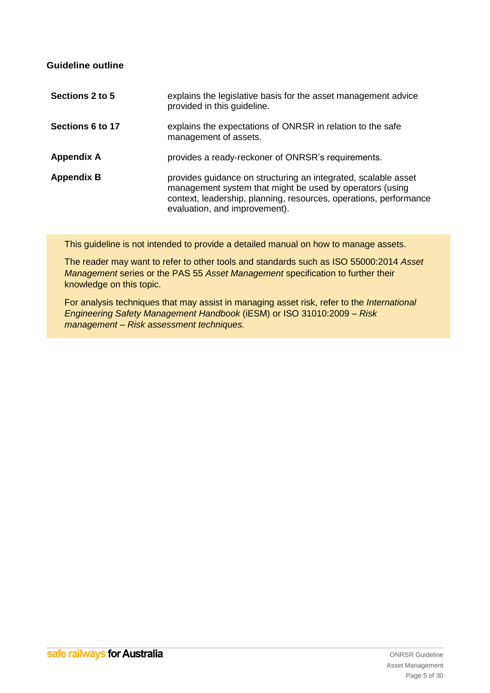## **Guideline outline**

| Sections 2 to 5   | explains the legislative basis for the asset management advice<br>provided in this guideline.                                                                                                                                    |
|-------------------|----------------------------------------------------------------------------------------------------------------------------------------------------------------------------------------------------------------------------------|
| Sections 6 to 17  | explains the expectations of ONRSR in relation to the safe<br>management of assets.                                                                                                                                              |
| <b>Appendix A</b> | provides a ready-reckoner of ONRSR's requirements.                                                                                                                                                                               |
| <b>Appendix B</b> | provides guidance on structuring an integrated, scalable asset<br>management system that might be used by operators (using<br>context, leadership, planning, resources, operations, performance<br>evaluation, and improvement). |

This guideline is not intended to provide a detailed manual on how to manage assets.

The reader may want to refer to other tools and standards such as ISO 55000:2014 *Asset Management* series or the PAS 55 *Asset Management* specification to further their knowledge on this topic.

For analysis techniques that may assist in managing asset risk, refer to the *International Engineering Safety Management Handbook* (iESM) or ISO 31010:2009 *– Risk management – Risk assessment techniques.*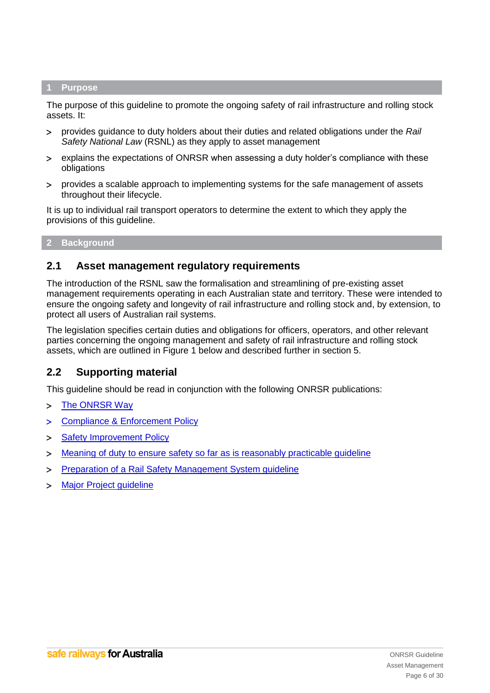#### <span id="page-5-0"></span>**1 Purpose**

The purpose of this guideline to promote the ongoing safety of rail infrastructure and rolling stock assets. It:

- provides guidance to duty holders about their duties and related obligations under the *Rail Safety National Law* (RSNL) as they apply to asset management
- explains the expectations of ONRSR when assessing a duty holder's compliance with these obligations
- provides a scalable approach to implementing systems for the safe management of assets throughout their lifecycle.

It is up to individual rail transport operators to determine the extent to which they apply the provisions of this guideline.

## <span id="page-5-1"></span>**2 Background**

## <span id="page-5-2"></span>**2.1 Asset management regulatory requirements**

The introduction of the RSNL saw the formalisation and streamlining of pre-existing asset management requirements operating in each Australian state and territory. These were intended to ensure the ongoing safety and longevity of rail infrastructure and rolling stock and, by extension, to protect all users of Australian rail systems.

The legislation specifies certain duties and obligations for officers, operators, and other relevant parties concerning the ongoing management and safety of rail infrastructure and rolling stock assets, which are outlined in Figure 1 below and described further in section [5.](#page-8-0)

## <span id="page-5-3"></span>**2.2 Supporting material**

This guideline should be read in conjunction with the following ONRSR publications:

- > [The ONRSR Way](http://www.onrsr.com.au/__data/assets/pdf_file/0014/20822/The-ONRSR-Way-web.pdf)
- > [Compliance & Enforcement Policy](http://www.onrsr.com.au/__data/assets/pdf_file/0016/1906/Policy-Compliance-and-Enforcement.pdf)
- > [Safety Improvement Policy](http://www.onrsr.com.au/__data/assets/pdf_file/0013/5125/Policy-Safety-Improvement.pdf)
- [Meaning of duty to ensure safety so far as is reasonably practicable guideline](http://www.onrsr.com.au/__data/assets/pdf_file/0009/2412/Guideline-Meaning-of-Duty-to-Ensure-Safety-SFAIRP.pdf)
- [Preparation of a Rail Safety Management System guideline](http://www.onrsr.com.au/__data/assets/pdf_file/0015/1923/Guideline-Preparation-of-a-Rail-Safety-Management-System.pdf)
- > Major Project quideline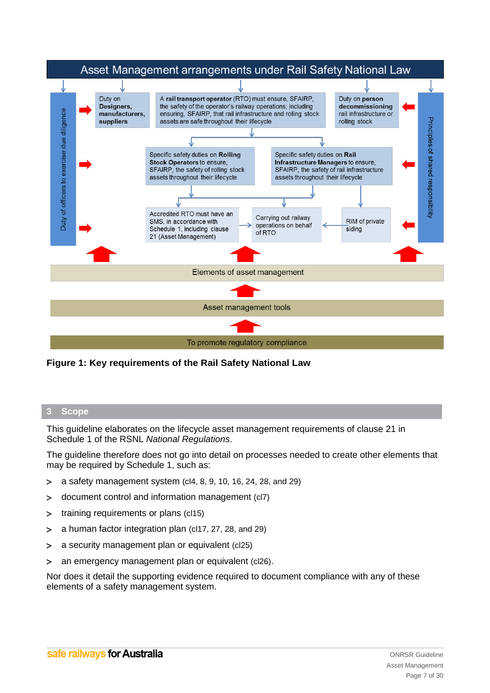

**Figure 1: Key requirements of the Rail Safety National Law**

## <span id="page-6-0"></span>**3 Scope**

This guideline elaborates on the lifecycle asset management requirements of clause 21 in Schedule 1 of the RSNL *National Regulations*.

The guideline therefore does not go into detail on processes needed to create other elements that may be required by Schedule 1, such as:

- $> a$  safety management system (cl4, 8, 9, 10, 16, 24, 28, and 29)
- document control and information management (cl7)
- > training requirements or plans (cl15)
- a human factor integration plan (cl17, 27, 28, and 29)
- a security management plan or equivalent (cl25)
- an emergency management plan or equivalent (cl26).

Nor does it detail the supporting evidence required to document compliance with any of these elements of a safety management system.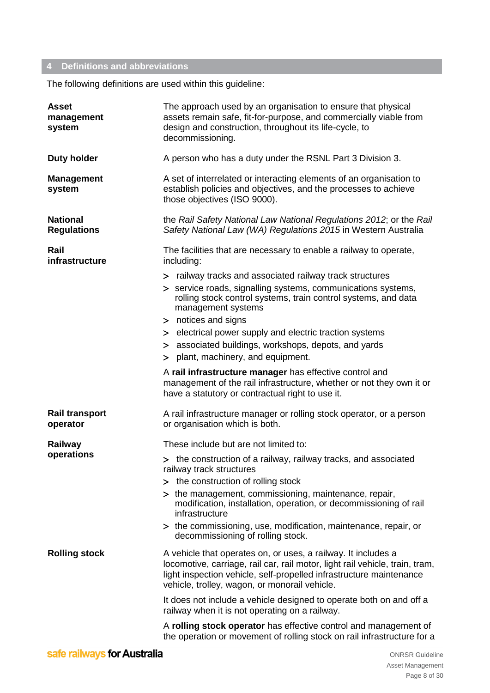## <span id="page-7-0"></span>**4 Definitions and abbreviations**

The following definitions are used within this guideline:

| <b>Asset</b><br>management<br>system  | The approach used by an organisation to ensure that physical<br>assets remain safe, fit-for-purpose, and commercially viable from<br>design and construction, throughout its life-cycle, to<br>decommissioning.                                                       |  |  |
|---------------------------------------|-----------------------------------------------------------------------------------------------------------------------------------------------------------------------------------------------------------------------------------------------------------------------|--|--|
| <b>Duty holder</b>                    | A person who has a duty under the RSNL Part 3 Division 3.                                                                                                                                                                                                             |  |  |
| <b>Management</b><br>system           | A set of interrelated or interacting elements of an organisation to<br>establish policies and objectives, and the processes to achieve<br>those objectives (ISO 9000).                                                                                                |  |  |
| <b>National</b><br><b>Regulations</b> | the Rail Safety National Law National Regulations 2012; or the Rail<br>Safety National Law (WA) Regulations 2015 in Western Australia                                                                                                                                 |  |  |
| Rail<br>infrastructure                | The facilities that are necessary to enable a railway to operate,<br>including:                                                                                                                                                                                       |  |  |
|                                       | > railway tracks and associated railway track structures<br>> service roads, signalling systems, communications systems,<br>rolling stock control systems, train control systems, and data<br>management systems<br>> notices and signs                               |  |  |
|                                       | > electrical power supply and electric traction systems<br>> associated buildings, workshops, depots, and yards<br>> plant, machinery, and equipment.                                                                                                                 |  |  |
|                                       | A rail infrastructure manager has effective control and<br>management of the rail infrastructure, whether or not they own it or<br>have a statutory or contractual right to use it.                                                                                   |  |  |
| <b>Rail transport</b><br>operator     | A rail infrastructure manager or rolling stock operator, or a person<br>or organisation which is both.                                                                                                                                                                |  |  |
| Railway                               | These include but are not limited to:                                                                                                                                                                                                                                 |  |  |
| operations                            | > the construction of a railway, railway tracks, and associated<br>railway track structures                                                                                                                                                                           |  |  |
|                                       | > the construction of rolling stock                                                                                                                                                                                                                                   |  |  |
|                                       | > the management, commissioning, maintenance, repair,<br>modification, installation, operation, or decommissioning of rail<br>infrastructure                                                                                                                          |  |  |
|                                       | > the commissioning, use, modification, maintenance, repair, or<br>decommissioning of rolling stock.                                                                                                                                                                  |  |  |
| <b>Rolling stock</b>                  | A vehicle that operates on, or uses, a railway. It includes a<br>locomotive, carriage, rail car, rail motor, light rail vehicle, train, tram,<br>light inspection vehicle, self-propelled infrastructure maintenance<br>vehicle, trolley, wagon, or monorail vehicle. |  |  |
|                                       | It does not include a vehicle designed to operate both on and off a<br>railway when it is not operating on a railway.                                                                                                                                                 |  |  |
|                                       | A rolling stock operator has effective control and management of<br>the operation or movement of rolling stock on rail infrastructure for a                                                                                                                           |  |  |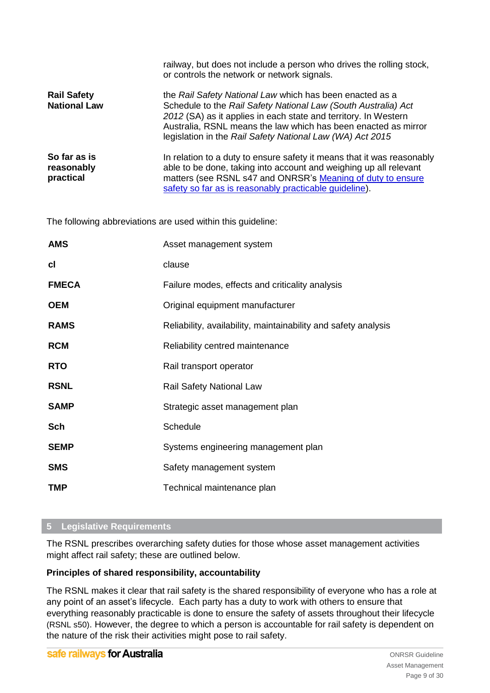|                                           | railway, but does not include a person who drives the rolling stock,<br>or controls the network or network signals.                                                                                                                                                                                                          |
|-------------------------------------------|------------------------------------------------------------------------------------------------------------------------------------------------------------------------------------------------------------------------------------------------------------------------------------------------------------------------------|
| <b>Rail Safety</b><br><b>National Law</b> | the Rail Safety National Law which has been enacted as a<br>Schedule to the Rail Safety National Law (South Australia) Act<br>2012 (SA) as it applies in each state and territory. In Western<br>Australia, RSNL means the law which has been enacted as mirror<br>legislation in the Rail Safety National Law (WA) Act 2015 |
| So far as is<br>reasonably<br>practical   | In relation to a duty to ensure safety it means that it was reasonably<br>able to be done, taking into account and weighing up all relevant<br>matters (see RSNL s47 and ONRSR's Meaning of duty to ensure<br>safety so far as is reasonably practicable guideline).                                                         |

The following abbreviations are used within this guideline:

| <b>AMS</b>   | Asset management system                                        |
|--------------|----------------------------------------------------------------|
| сI           | clause                                                         |
| <b>FMECA</b> | Failure modes, effects and criticality analysis                |
| <b>OEM</b>   | Original equipment manufacturer                                |
| <b>RAMS</b>  | Reliability, availability, maintainability and safety analysis |
| <b>RCM</b>   | Reliability centred maintenance                                |
| <b>RTO</b>   | Rail transport operator                                        |
| <b>RSNL</b>  | <b>Rail Safety National Law</b>                                |
| <b>SAMP</b>  | Strategic asset management plan                                |
| Sch          | Schedule                                                       |
| <b>SEMP</b>  | Systems engineering management plan                            |
| <b>SMS</b>   | Safety management system                                       |
| <b>TMP</b>   | Technical maintenance plan                                     |

## <span id="page-8-0"></span>**5 Legislative Requirements**

The RSNL prescribes overarching safety duties for those whose asset management activities might affect rail safety; these are outlined below.

## **Principles of shared responsibility, accountability**

The RSNL makes it clear that rail safety is the shared responsibility of everyone who has a role at any point of an asset's lifecycle. Each party has a duty to work with others to ensure that everything reasonably practicable is done to ensure the safety of assets throughout their lifecycle (RSNL s50). However, the degree to which a person is accountable for rail safety is dependent on the nature of the risk their activities might pose to rail safety.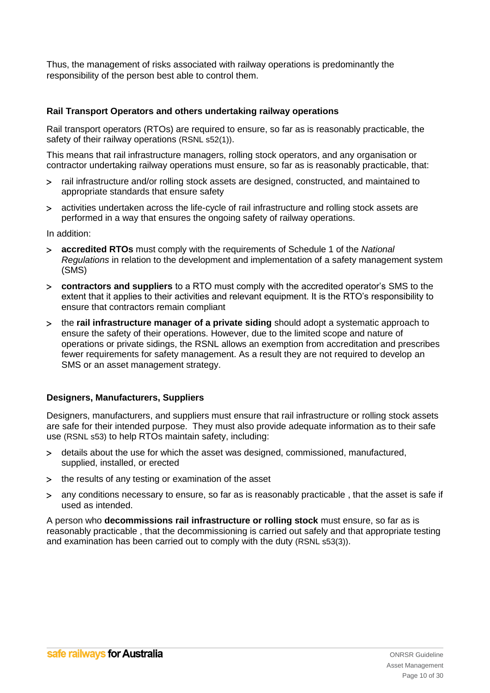Thus, the management of risks associated with railway operations is predominantly the responsibility of the person best able to control them.

## **Rail Transport Operators and others undertaking railway operations**

Rail transport operators (RTOs) are required to ensure, so far as is reasonably practicable, the safety of their railway operations (RSNL s52(1)).

This means that rail infrastructure managers, rolling stock operators, and any organisation or contractor undertaking railway operations must ensure, so far as is reasonably practicable, that:

- rail infrastructure and/or rolling stock assets are designed, constructed, and maintained to appropriate standards that ensure safety
- activities undertaken across the life-cycle of rail infrastructure and rolling stock assets are performed in a way that ensures the ongoing safety of railway operations.

In addition:

- **accredited RTOs** must comply with the requirements of Schedule 1 of the *National Regulations* in relation to the development and implementation of a safety management system (SMS)
- **contractors and suppliers** to a RTO must comply with the accredited operator's SMS to the extent that it applies to their activities and relevant equipment. It is the RTO's responsibility to ensure that contractors remain compliant
- the **rail infrastructure manager of a private siding** should adopt a systematic approach to ensure the safety of their operations. However, due to the limited scope and nature of operations or private sidings, the RSNL allows an exemption from accreditation and prescribes fewer requirements for safety management. As a result they are not required to develop an SMS or an asset management strategy.

## **Designers, Manufacturers, Suppliers**

Designers, manufacturers, and suppliers must ensure that rail infrastructure or rolling stock assets are safe for their intended purpose. They must also provide adequate information as to their safe use (RSNL s53) to help RTOs maintain safety, including:

- details about the use for which the asset was designed, commissioned, manufactured, supplied, installed, or erected
- > the results of any testing or examination of the asset
- any conditions necessary to ensure, so far as is reasonably practicable , that the asset is safe if used as intended.

A person who **decommissions rail infrastructure or rolling stock** must ensure, so far as is reasonably practicable , that the decommissioning is carried out safely and that appropriate testing and examination has been carried out to comply with the duty (RSNL s53(3)).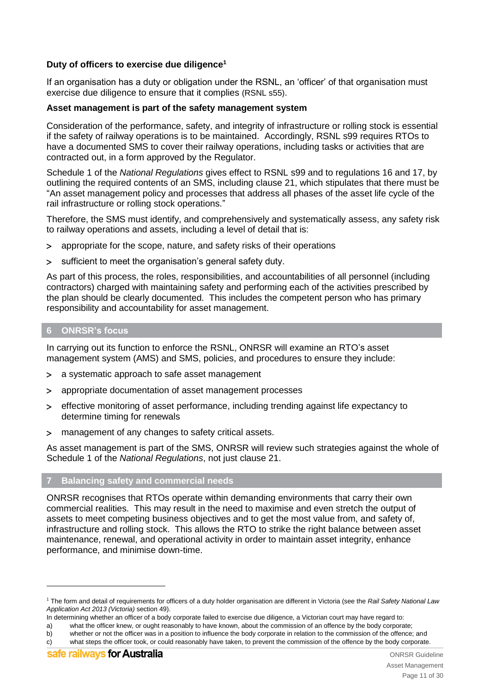## **Duty of officers to exercise due diligence<sup>1</sup>**

If an organisation has a duty or obligation under the RSNL, an 'officer' of that organisation must exercise due diligence to ensure that it complies (RSNL s55).

## **Asset management is part of the safety management system**

Consideration of the performance, safety, and integrity of infrastructure or rolling stock is essential if the safety of railway operations is to be maintained. Accordingly, RSNL s99 requires RTOs to have a documented SMS to cover their railway operations, including tasks or activities that are contracted out, in a form approved by the Regulator.

Schedule 1 of the *National Regulations* gives effect to RSNL s99 and to regulations 16 and 17, by outlining the required contents of an SMS, including clause 21, which stipulates that there must be "An asset management policy and processes that address all phases of the asset life cycle of the rail infrastructure or rolling stock operations."

Therefore, the SMS must identify, and comprehensively and systematically assess, any safety risk to railway operations and assets, including a level of detail that is:

- appropriate for the scope, nature, and safety risks of their operations
- sufficient to meet the organisation's general safety duty.

As part of this process, the roles, responsibilities, and accountabilities of all personnel (including contractors) charged with maintaining safety and performing each of the activities prescribed by the plan should be clearly documented. This includes the competent person who has primary responsibility and accountability for asset management.

## <span id="page-10-0"></span>**6 ONRSR's focus**

In carrying out its function to enforce the RSNL, ONRSR will examine an RTO's asset management system (AMS) and SMS, policies, and procedures to ensure they include:

- a systematic approach to safe asset management
- appropriate documentation of asset management processes
- effective monitoring of asset performance, including trending against life expectancy to determine timing for renewals
- management of any changes to safety critical assets.

As asset management is part of the SMS, ONRSR will review such strategies against the whole of Schedule 1 of the *National Regulations*, not just clause 21.

## <span id="page-10-1"></span>**7 Balancing safety and commercial needs**

ONRSR recognises that RTOs operate within demanding environments that carry their own commercial realities. This may result in the need to maximise and even stretch the output of assets to meet competing business objectives and to get the most value from, and safety of, infrastructure and rolling stock. This allows the RTO to strike the right balance between asset maintenance, renewal, and operational activity in order to maintain asset integrity, enhance performance, and minimise down-time.

-

<sup>1</sup> The form and detail of requirements for officers of a duty holder organisation are different in Victoria (see the *Rail Safety National Law Application Act 2013 (Victoria)* section 49).

In determining whether an officer of a body corporate failed to exercise due diligence, a Victorian court may have regard to:

a) what the officer knew, or ought reasonably to have known, about the commission of an offence by the body corporate;

b) whether or not the officer was in a position to influence the body corporate in relation to the commission of the offence; and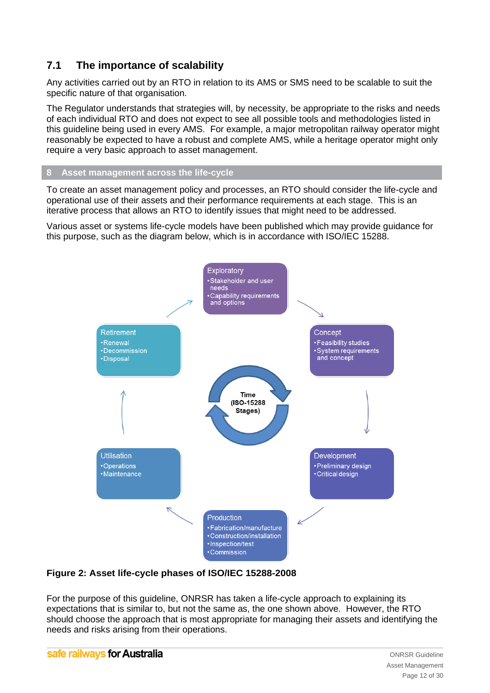# <span id="page-11-0"></span>**7.1 The importance of scalability**

Any activities carried out by an RTO in relation to its AMS or SMS need to be scalable to suit the specific nature of that organisation.

The Regulator understands that strategies will, by necessity, be appropriate to the risks and needs of each individual RTO and does not expect to see all possible tools and methodologies listed in this guideline being used in every AMS. For example, a major metropolitan railway operator might reasonably be expected to have a robust and complete AMS, while a heritage operator might only require a very basic approach to asset management.

#### <span id="page-11-1"></span>**8 Asset management across the life-cycle**

To create an asset management policy and processes, an RTO should consider the life-cycle and operational use of their assets and their performance requirements at each stage. This is an iterative process that allows an RTO to identify issues that might need to be addressed.

Various asset or systems life-cycle models have been published which may provide guidance for this purpose, such as the diagram below, which is in accordance with ISO/IEC 15288.



## **Figure 2: Asset life-cycle phases of ISO/IEC 15288-2008**

For the purpose of this guideline, ONRSR has taken a life-cycle approach to explaining its expectations that is similar to, but not the same as, the one shown above. However, the RTO should choose the approach that is most appropriate for managing their assets and identifying the needs and risks arising from their operations.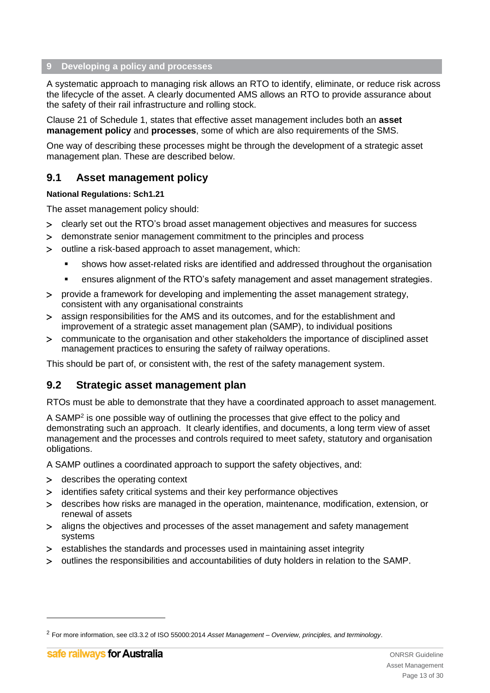## <span id="page-12-0"></span>**9 Developing a policy and processes**

A systematic approach to managing risk allows an RTO to identify, eliminate, or reduce risk across the lifecycle of the asset. A clearly documented AMS allows an RTO to provide assurance about the safety of their rail infrastructure and rolling stock.

Clause 21 of Schedule 1, states that effective asset management includes both an **asset management policy** and **processes**, some of which are also requirements of the SMS.

One way of describing these processes might be through the development of a strategic asset management plan. These are described below.

## <span id="page-12-1"></span>**9.1 Asset management policy**

#### **National Regulations: Sch1.21**

The asset management policy should:

- clearly set out the RTO's broad asset management objectives and measures for success
- demonstrate senior management commitment to the principles and process
- outline a risk-based approach to asset management, which:
	- shows how asset-related risks are identified and addressed throughout the organisation
	- ensures alignment of the RTO's safety management and asset management strategies.
- provide a framework for developing and implementing the asset management strategy, consistent with any organisational constraints
- assign responsibilities for the AMS and its outcomes, and for the establishment and improvement of a strategic asset management plan (SAMP), to individual positions
- communicate to the organisation and other stakeholders the importance of disciplined asset management practices to ensuring the safety of railway operations.

This should be part of, or consistent with, the rest of the safety management system.

## <span id="page-12-2"></span>**9.2 Strategic asset management plan**

RTOs must be able to demonstrate that they have a coordinated approach to asset management.

A SAMP<sup>2</sup> is one possible way of outlining the processes that give effect to the policy and demonstrating such an approach. It clearly identifies, and documents, a long term view of asset management and the processes and controls required to meet safety, statutory and organisation obligations.

A SAMP outlines a coordinated approach to support the safety objectives, and:

- > describes the operating context
- identifies safety critical systems and their key performance objectives
- describes how risks are managed in the operation, maintenance, modification, extension, or renewal of assets
- aligns the objectives and processes of the asset management and safety management systems
- establishes the standards and processes used in maintaining asset integrity
- outlines the responsibilities and accountabilities of duty holders in relation to the SAMP.

-

<sup>2</sup> For more information, see cl3.3.2 of ISO 55000:2014 *Asset Management – Overview, principles, and terminology*.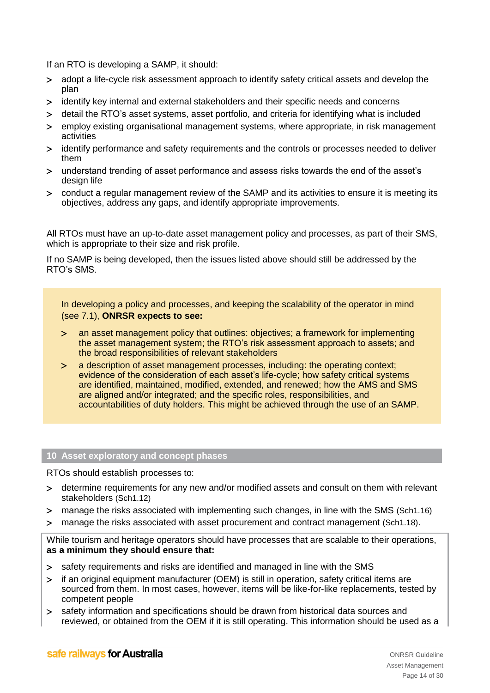If an RTO is developing a SAMP, it should:

- adopt a life-cycle risk assessment approach to identify safety critical assets and develop the plan
- identify key internal and external stakeholders and their specific needs and concerns
- detail the RTO's asset systems, asset portfolio, and criteria for identifying what is included
- employ existing organisational management systems, where appropriate, in risk management activities
- identify performance and safety requirements and the controls or processes needed to deliver them
- understand trending of asset performance and assess risks towards the end of the asset's design life
- conduct a regular management review of the SAMP and its activities to ensure it is meeting its objectives, address any gaps, and identify appropriate improvements.

All RTOs must have an up-to-date asset management policy and processes, as part of their SMS, which is appropriate to their size and risk profile.

If no SAMP is being developed, then the issues listed above should still be addressed by the RTO's SMS.

In developing a policy and processes, and keeping the scalability of the operator in mind (see 7.1), **ONRSR expects to see:**

- an asset management policy that outlines: objectives; a framework for implementing the asset management system; the RTO's risk assessment approach to assets; and the broad responsibilities of relevant stakeholders
- a description of asset management processes, including: the operating context; evidence of the consideration of each asset's life-cycle; how safety critical systems are identified, maintained, modified, extended, and renewed; how the AMS and SMS are aligned and/or integrated; and the specific roles, responsibilities, and accountabilities of duty holders. This might be achieved through the use of an SAMP.

#### <span id="page-13-0"></span>**10 Asset exploratory and concept phases**

RTOs should establish processes to:

- determine requirements for any new and/or modified assets and consult on them with relevant stakeholders (Sch1.12)
- manage the risks associated with implementing such changes, in line with the SMS (Sch1.16)
- manage the risks associated with asset procurement and contract management (Sch1.18).

While tourism and heritage operators should have processes that are scalable to their operations, **as a minimum they should ensure that:**

- > safety requirements and risks are identified and managed in line with the SMS
- if an original equipment manufacturer (OEM) is still in operation, safety critical items are sourced from them. In most cases, however, items will be like-for-like replacements, tested by competent people
- > safety information and specifications should be drawn from historical data sources and reviewed, or obtained from the OEM if it is still operating. This information should be used as a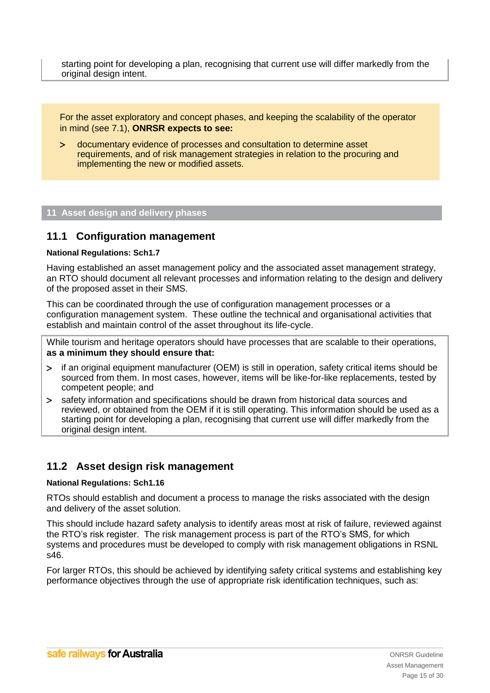starting point for developing a plan, recognising that current use will differ markedly from the original design intent.

For the asset exploratory and concept phases, and keeping the scalability of the operator in mind (see 7.1), **ONRSR expects to see:**

 documentary evidence of processes and consultation to determine asset requirements, and of risk management strategies in relation to the procuring and implementing the new or modified assets.

## <span id="page-14-0"></span>**11 Asset design and delivery phases**

## <span id="page-14-1"></span>**11.1 Configuration management**

#### **National Regulations: Sch1.7**

Having established an asset management policy and the associated asset management strategy, an RTO should document all relevant processes and information relating to the design and delivery of the proposed asset in their SMS.

This can be coordinated through the use of configuration management processes or a configuration management system. These outline the technical and organisational activities that establish and maintain control of the asset throughout its life-cycle.

While tourism and heritage operators should have processes that are scalable to their operations, **as a minimum they should ensure that:**

- if an original equipment manufacturer (OEM) is still in operation, safety critical items should be sourced from them. In most cases, however, items will be like-for-like replacements, tested by competent people; and
- safety information and specifications should be drawn from historical data sources and reviewed, or obtained from the OEM if it is still operating. This information should be used as a starting point for developing a plan, recognising that current use will differ markedly from the original design intent.

## <span id="page-14-2"></span>**11.2 Asset design risk management**

#### **National Regulations: Sch1.16**

RTOs should establish and document a process to manage the risks associated with the design and delivery of the asset solution.

This should include hazard safety analysis to identify areas most at risk of failure, reviewed against the RTO's risk register. The risk management process is part of the RTO's SMS, for which systems and procedures must be developed to comply with risk management obligations in RSNL s46.

For larger RTOs, this should be achieved by identifying safety critical systems and establishing key performance objectives through the use of appropriate risk identification techniques, such as: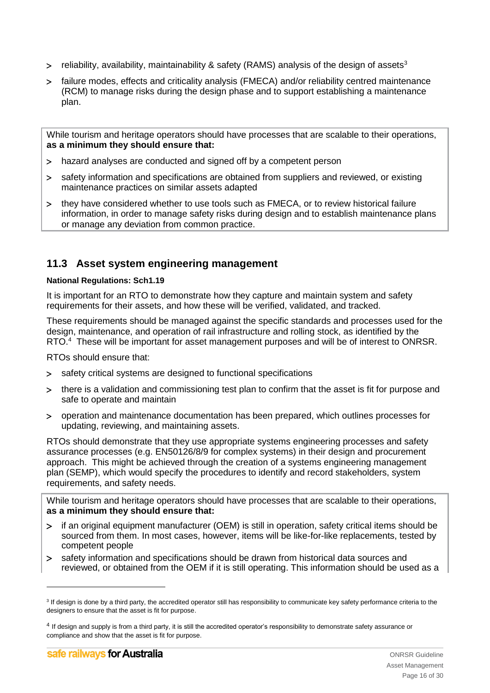- $>$  reliability, availability, maintainability & safety (RAMS) analysis of the design of assets<sup>3</sup>
- failure modes, effects and criticality analysis (FMECA) and/or reliability centred maintenance (RCM) to manage risks during the design phase and to support establishing a maintenance plan.

While tourism and heritage operators should have processes that are scalable to their operations, **as a minimum they should ensure that:**

- hazard analyses are conducted and signed off by a competent person
- safety information and specifications are obtained from suppliers and reviewed, or existing maintenance practices on similar assets adapted
- they have considered whether to use tools such as FMECA, or to review historical failure information, in order to manage safety risks during design and to establish maintenance plans or manage any deviation from common practice.

## <span id="page-15-0"></span>**11.3 Asset system engineering management**

## **National Regulations: Sch1.19**

It is important for an RTO to demonstrate how they capture and maintain system and safety requirements for their assets, and how these will be verified, validated, and tracked.

These requirements should be managed against the specific standards and processes used for the design, maintenance, and operation of rail infrastructure and rolling stock, as identified by the RTO.<sup>4</sup> These will be important for asset management purposes and will be of interest to ONRSR.

RTOs should ensure that:

- > safety critical systems are designed to functional specifications
- there is a validation and commissioning test plan to confirm that the asset is fit for purpose and safe to operate and maintain
- operation and maintenance documentation has been prepared, which outlines processes for updating, reviewing, and maintaining assets.

RTOs should demonstrate that they use appropriate systems engineering processes and safety assurance processes (e.g. EN50126/8/9 for complex systems) in their design and procurement approach. This might be achieved through the creation of a systems engineering management plan (SEMP), which would specify the procedures to identify and record stakeholders, system requirements, and safety needs.

While tourism and heritage operators should have processes that are scalable to their operations, **as a minimum they should ensure that:**

- > if an original equipment manufacturer (OEM) is still in operation, safety critical items should be sourced from them. In most cases, however, items will be like-for-like replacements, tested by competent people
- safety information and specifications should be drawn from historical data sources and reviewed, or obtained from the OEM if it is still operating. This information should be used as a

-

<sup>&</sup>lt;sup>3</sup> If design is done by a third party, the accredited operator still has responsibility to communicate key safety performance criteria to the designers to ensure that the asset is fit for purpose.

<sup>&</sup>lt;sup>4</sup> If design and supply is from a third party, it is still the accredited operator's responsibility to demonstrate safety assurance or compliance and show that the asset is fit for purpose.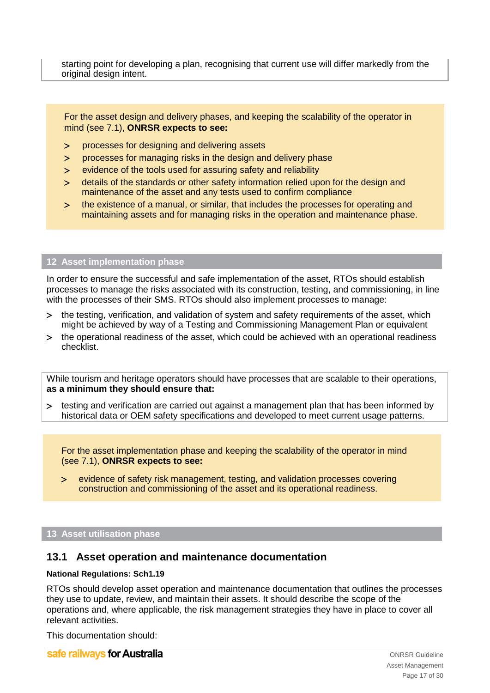starting point for developing a plan, recognising that current use will differ markedly from the original design intent.

For the asset design and delivery phases, and keeping the scalability of the operator in mind (see 7.1), **ONRSR expects to see:**

- processes for designing and delivering assets
- processes for managing risks in the design and delivery phase
- evidence of the tools used for assuring safety and reliability
- details of the standards or other safety information relied upon for the design and maintenance of the asset and any tests used to confirm compliance
- the existence of a manual, or similar, that includes the processes for operating and maintaining assets and for managing risks in the operation and maintenance phase.

## <span id="page-16-0"></span>**12 Asset implementation phase**

In order to ensure the successful and safe implementation of the asset, RTOs should establish processes to manage the risks associated with its construction, testing, and commissioning, in line with the processes of their SMS. RTOs should also implement processes to manage:

- the testing, verification, and validation of system and safety requirements of the asset, which might be achieved by way of a Testing and Commissioning Management Plan or equivalent
- the operational readiness of the asset, which could be achieved with an operational readiness checklist.

While tourism and heritage operators should have processes that are scalable to their operations, **as a minimum they should ensure that:**

 testing and verification are carried out against a management plan that has been informed by historical data or OEM safety specifications and developed to meet current usage patterns.

For the asset implementation phase and keeping the scalability of the operator in mind (see 7.1), **ONRSR expects to see:**

 evidence of safety risk management, testing, and validation processes covering construction and commissioning of the asset and its operational readiness.

#### <span id="page-16-1"></span>**13 Asset utilisation phase**

## <span id="page-16-2"></span>**13.1 Asset operation and maintenance documentation**

#### **National Regulations: Sch1.19**

RTOs should develop asset operation and maintenance documentation that outlines the processes they use to update, review, and maintain their assets. It should describe the scope of the operations and, where applicable, the risk management strategies they have in place to cover all relevant activities.

This documentation should:

safe railways for Australia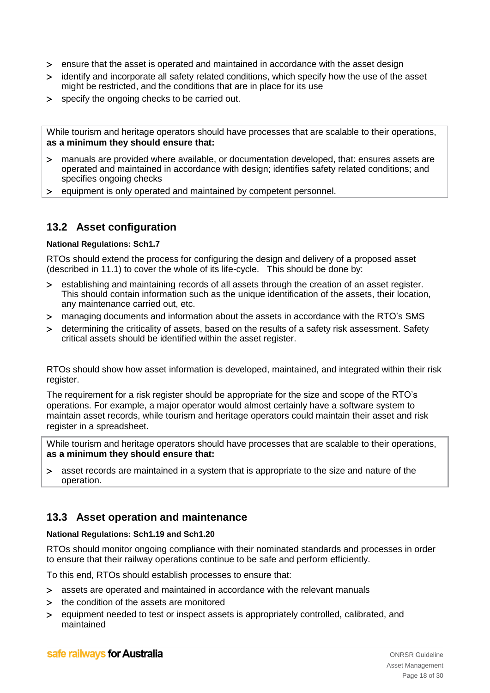- ensure that the asset is operated and maintained in accordance with the asset design
- identify and incorporate all safety related conditions, which specify how the use of the asset might be restricted, and the conditions that are in place for its use
- specify the ongoing checks to be carried out.

While tourism and heritage operators should have processes that are scalable to their operations, **as a minimum they should ensure that:**

- manuals are provided where available, or documentation developed, that: ensures assets are operated and maintained in accordance with design; identifies safety related conditions; and specifies ongoing checks
- > equipment is only operated and maintained by competent personnel.

## <span id="page-17-0"></span>**13.2 Asset configuration**

## **National Regulations: Sch1.7**

RTOs should extend the process for configuring the design and delivery of a proposed asset (described in [11.1\)](#page-14-1) to cover the whole of its life-cycle. This should be done by:

- establishing and maintaining records of all assets through the creation of an asset register. This should contain information such as the unique identification of the assets, their location, any maintenance carried out, etc.
- managing documents and information about the assets in accordance with the RTO's SMS
- determining the criticality of assets, based on the results of a safety risk assessment. Safety critical assets should be identified within the asset register.

RTOs should show how asset information is developed, maintained, and integrated within their risk register.

The requirement for a risk register should be appropriate for the size and scope of the RTO's operations. For example, a major operator would almost certainly have a software system to maintain asset records, while tourism and heritage operators could maintain their asset and risk register in a spreadsheet.

While tourism and heritage operators should have processes that are scalable to their operations, **as a minimum they should ensure that:**

 asset records are maintained in a system that is appropriate to the size and nature of the operation.

## <span id="page-17-1"></span>**13.3 Asset operation and maintenance**

#### **National Regulations: Sch1.19 and Sch1.20**

RTOs should monitor ongoing compliance with their nominated standards and processes in order to ensure that their railway operations continue to be safe and perform efficiently.

To this end, RTOs should establish processes to ensure that:

- assets are operated and maintained in accordance with the relevant manuals
- > the condition of the assets are monitored
- equipment needed to test or inspect assets is appropriately controlled, calibrated, and maintained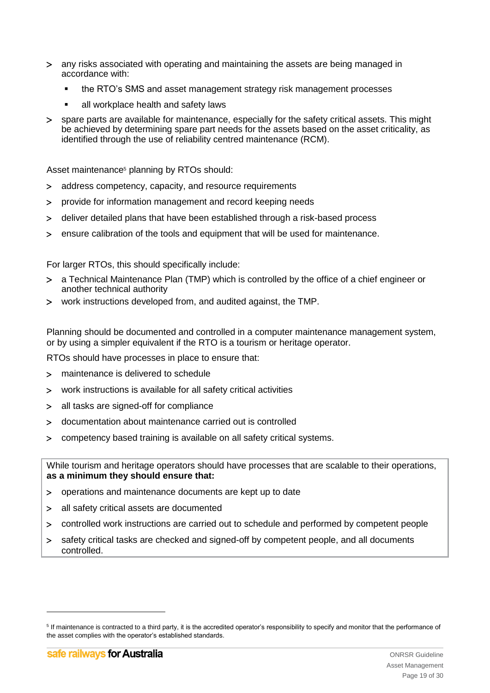- any risks associated with operating and maintaining the assets are being managed in accordance with:
	- the RTO's SMS and asset management strategy risk management processes
	- all workplace health and safety laws
- spare parts are available for maintenance, especially for the safety critical assets. This might be achieved by determining spare part needs for the assets based on the asset criticality, as identified through the use of reliability centred maintenance (RCM).

Asset maintenance<sup>5</sup> planning by RTOs should:

- address competency, capacity, and resource requirements
- provide for information management and record keeping needs
- deliver detailed plans that have been established through a risk-based process
- ensure calibration of the tools and equipment that will be used for maintenance.

For larger RTOs, this should specifically include:

- a Technical Maintenance Plan (TMP) which is controlled by the office of a chief engineer or another technical authority
- work instructions developed from, and audited against, the TMP.

Planning should be documented and controlled in a computer maintenance management system, or by using a simpler equivalent if the RTO is a tourism or heritage operator.

RTOs should have processes in place to ensure that:

- maintenance is delivered to schedule
- work instructions is available for all safety critical activities
- all tasks are signed-off for compliance
- documentation about maintenance carried out is controlled
- competency based training is available on all safety critical systems.

While tourism and heritage operators should have processes that are scalable to their operations, **as a minimum they should ensure that:**

- operations and maintenance documents are kept up to date
- all safety critical assets are documented
- controlled work instructions are carried out to schedule and performed by competent people
- safety critical tasks are checked and signed-off by competent people, and all documents controlled.

<span id="page-18-0"></span>-

<sup>&</sup>lt;sup>5</sup> If maintenance is contracted to a third party, it is the accredited operator's responsibility to specify and monitor that the performance of the asset complies with the operator's established standards.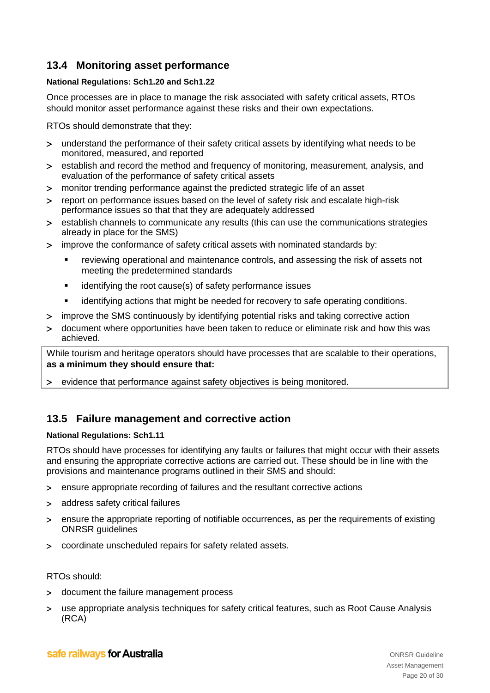## **13.4 Monitoring asset performance**

## **National Regulations: Sch1.20 and Sch1.22**

Once processes are in place to manage the risk associated with safety critical assets, RTOs should monitor asset performance against these risks and their own expectations.

RTOs should demonstrate that they:

- understand the performance of their safety critical assets by identifying what needs to be monitored, measured, and reported
- establish and record the method and frequency of monitoring, measurement, analysis, and evaluation of the performance of safety critical assets
- monitor trending performance against the predicted strategic life of an asset
- report on performance issues based on the level of safety risk and escalate high-risk performance issues so that that they are adequately addressed
- establish channels to communicate any results (this can use the communications strategies already in place for the SMS)
- improve the conformance of safety critical assets with nominated standards by:
	- reviewing operational and maintenance controls, and assessing the risk of assets not meeting the predetermined standards
	- **EXECUTE:** identifying the root cause(s) of safety performance issues
	- **EXEDENT** identifying actions that might be needed for recovery to safe operating conditions.
- improve the SMS continuously by identifying potential risks and taking corrective action
- document where opportunities have been taken to reduce or eliminate risk and how this was achieved.

While tourism and heritage operators should have processes that are scalable to their operations, **as a minimum they should ensure that:**

evidence that performance against safety objectives is being monitored.

## <span id="page-19-0"></span>**13.5 Failure management and corrective action**

## **National Regulations: Sch1.11**

RTOs should have processes for identifying any faults or failures that might occur with their assets and ensuring the appropriate corrective actions are carried out. These should be in line with the provisions and maintenance programs outlined in their SMS and should:

- ensure appropriate recording of failures and the resultant corrective actions
- address safety critical failures
- ensure the appropriate reporting of notifiable occurrences, as per the requirements of existing ONRSR guidelines
- coordinate unscheduled repairs for safety related assets.

## RTOs should:

- document the failure management process
- use appropriate analysis techniques for safety critical features, such as Root Cause Analysis (RCA)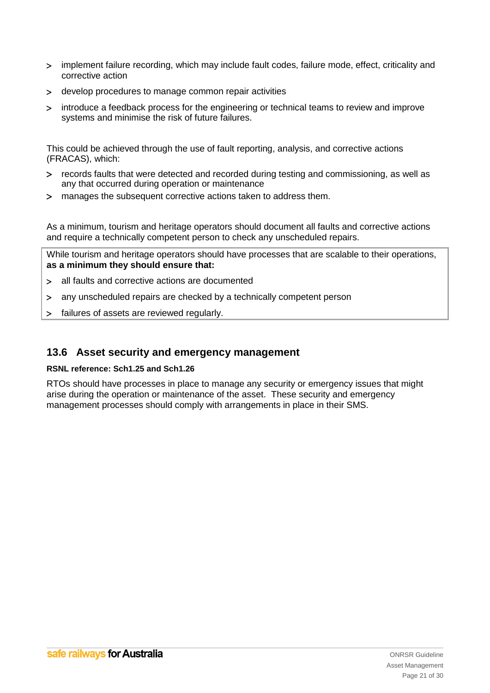- implement failure recording, which may include fault codes, failure mode, effect, criticality and corrective action
- develop procedures to manage common repair activities
- introduce a feedback process for the engineering or technical teams to review and improve systems and minimise the risk of future failures.

This could be achieved through the use of fault reporting, analysis, and corrective actions (FRACAS), which:

- records faults that were detected and recorded during testing and commissioning, as well as any that occurred during operation or maintenance
- manages the subsequent corrective actions taken to address them.

As a minimum, tourism and heritage operators should document all faults and corrective actions and require a technically competent person to check any unscheduled repairs.

While tourism and heritage operators should have processes that are scalable to their operations, **as a minimum they should ensure that:**

- all faults and corrective actions are documented
- any unscheduled repairs are checked by a technically competent person
- > failures of assets are reviewed regularly.

## <span id="page-20-0"></span>**13.6 Asset security and emergency management**

## **RSNL reference: Sch1.25 and Sch1.26**

<span id="page-20-1"></span>RTOs should have processes in place to manage any security or emergency issues that might arise during the operation or maintenance of the asset. These security and emergency management processes should comply with arrangements in place in their SMS.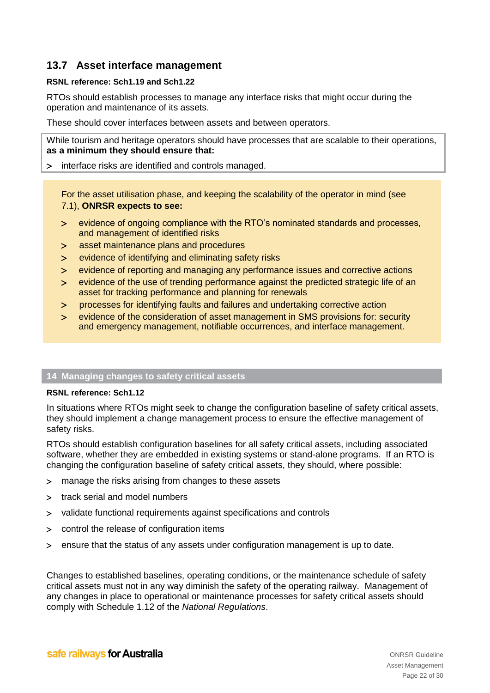## **13.7 Asset interface management**

## **RSNL reference: Sch1.19 and Sch1.22**

RTOs should establish processes to manage any interface risks that might occur during the operation and maintenance of its assets.

These should cover interfaces between assets and between operators.

While tourism and heritage operators should have processes that are scalable to their operations, **as a minimum they should ensure that:**

## interface risks are identified and controls managed.

For the asset utilisation phase, and keeping the scalability of the operator in mind (see 7.1), **ONRSR expects to see:**

- evidence of ongoing compliance with the RTO's nominated standards and processes, and management of identified risks
- asset maintenance plans and procedures
- evidence of identifying and eliminating safety risks
- evidence of reporting and managing any performance issues and corrective actions
- evidence of the use of trending performance against the predicted strategic life of an asset for tracking performance and planning for renewals
- processes for identifying faults and failures and undertaking corrective action
- evidence of the consideration of asset management in SMS provisions for: security and emergency management, notifiable occurrences, and interface management.

## <span id="page-21-0"></span>**14 Managing changes to safety critical assets**

## **RSNL reference: Sch1.12**

In situations where RTOs might seek to change the configuration baseline of safety critical assets, they should implement a change management process to ensure the effective management of safety risks.

RTOs should establish configuration baselines for all safety critical assets, including associated software, whether they are embedded in existing systems or stand-alone programs. If an RTO is changing the configuration baseline of safety critical assets, they should, where possible:

- manage the risks arising from changes to these assets
- > track serial and model numbers
- validate functional requirements against specifications and controls
- control the release of configuration items
- ensure that the status of any assets under configuration management is up to date.

Changes to established baselines, operating conditions, or the maintenance schedule of safety critical assets must not in any way diminish the safety of the operating railway. Management of any changes in place to operational or maintenance processes for safety critical assets should comply with Schedule 1.12 of the *National Regulations*.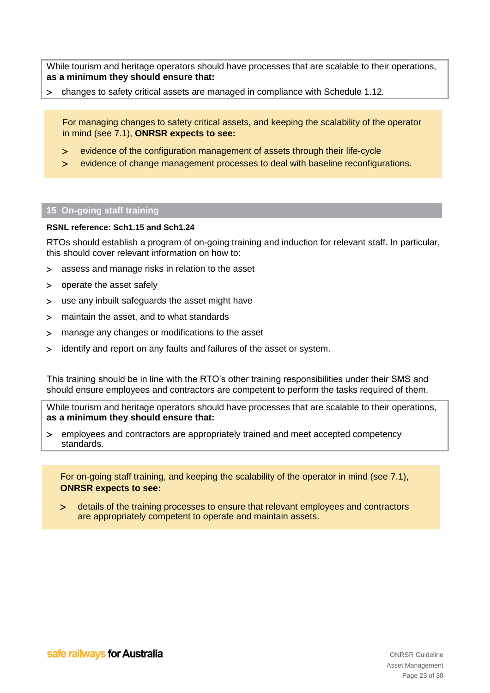While tourism and heritage operators should have processes that are scalable to their operations, **as a minimum they should ensure that:**

changes to safety critical assets are managed in compliance with Schedule 1.12*.* 

For managing changes to safety critical assets, and keeping the scalability of the operator in mind (see 7.1), **ONRSR expects to see:**

- evidence of the configuration management of assets through their life-cycle
- evidence of change management processes to deal with baseline reconfigurations.

#### <span id="page-22-0"></span>**15 On-going staff training**

#### **RSNL reference: Sch1.15 and Sch1.24**

RTOs should establish a program of on-going training and induction for relevant staff. In particular, this should cover relevant information on how to:

- assess and manage risks in relation to the asset
- operate the asset safely
- use any inbuilt safeguards the asset might have
- maintain the asset, and to what standards
- manage any changes or modifications to the asset
- identify and report on any faults and failures of the asset or system.

This training should be in line with the RTO's other training responsibilities under their SMS and should ensure employees and contractors are competent to perform the tasks required of them.

While tourism and heritage operators should have processes that are scalable to their operations, **as a minimum they should ensure that:**

 employees and contractors are appropriately trained and meet accepted competency standards.

For on-going staff training, and keeping the scalability of the operator in mind (see 7.1), **ONRSR expects to see:**

 details of the training processes to ensure that relevant employees and contractors are appropriately competent to operate and maintain assets.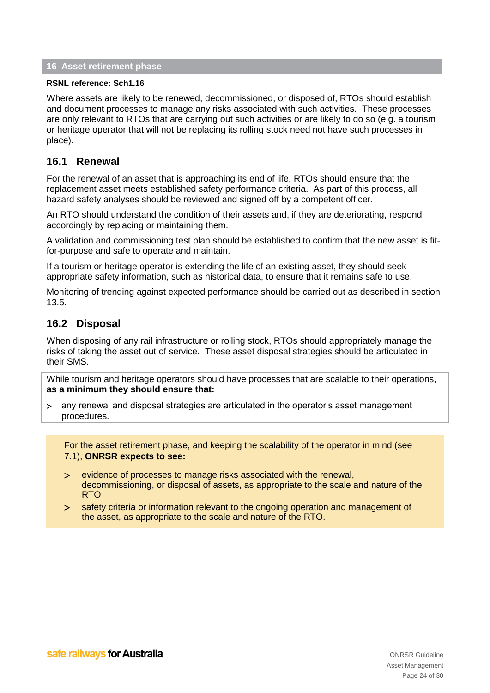## <span id="page-23-0"></span>**16 Asset retirement phase**

#### **RSNL reference: Sch1.16**

Where assets are likely to be renewed, decommissioned, or disposed of, RTOs should establish and document processes to manage any risks associated with such activities. These processes are only relevant to RTOs that are carrying out such activities or are likely to do so (e.g. a tourism or heritage operator that will not be replacing its rolling stock need not have such processes in place).

## <span id="page-23-1"></span>**16.1 Renewal**

For the renewal of an asset that is approaching its end of life, RTOs should ensure that the replacement asset meets established safety performance criteria. As part of this process, all hazard safety analyses should be reviewed and signed off by a competent officer.

An RTO should understand the condition of their assets and, if they are deteriorating, respond accordingly by replacing or maintaining them.

A validation and commissioning test plan should be established to confirm that the new asset is fitfor-purpose and safe to operate and maintain.

If a tourism or heritage operator is extending the life of an existing asset, they should seek appropriate safety information, such as historical data, to ensure that it remains safe to use.

Monitoring of trending against expected performance should be carried out as described in section [13.5.](#page-19-0)

## <span id="page-23-2"></span>**16.2 Disposal**

When disposing of any rail infrastructure or rolling stock, RTOs should appropriately manage the risks of taking the asset out of service. These asset disposal strategies should be articulated in their SMS.

While tourism and heritage operators should have processes that are scalable to their operations, **as a minimum they should ensure that:**

 any renewal and disposal strategies are articulated in the operator's asset management procedures.

For the asset retirement phase, and keeping the scalability of the operator in mind (see 7.1), **ONRSR expects to see:**

- evidence of processes to manage risks associated with the renewal, decommissioning, or disposal of assets, as appropriate to the scale and nature of the RTO
- safety criteria or information relevant to the ongoing operation and management of the asset, as appropriate to the scale and nature of the RTO.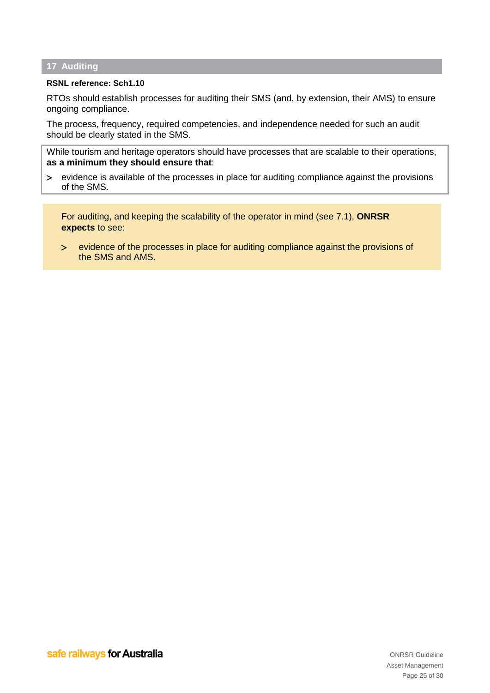## <span id="page-24-0"></span>**17 Auditing**

#### **RSNL reference: Sch1.10**

RTOs should establish processes for auditing their SMS (and, by extension, their AMS) to ensure ongoing compliance.

The process, frequency, required competencies, and independence needed for such an audit should be clearly stated in the SMS.

While tourism and heritage operators should have processes that are scalable to their operations, **as a minimum they should ensure that**:

 evidence is available of the processes in place for auditing compliance against the provisions of the SMS.

For auditing, and keeping the scalability of the operator in mind (see 7.1), **ONRSR expects** to see:

 evidence of the processes in place for auditing compliance against the provisions of the SMS and AMS.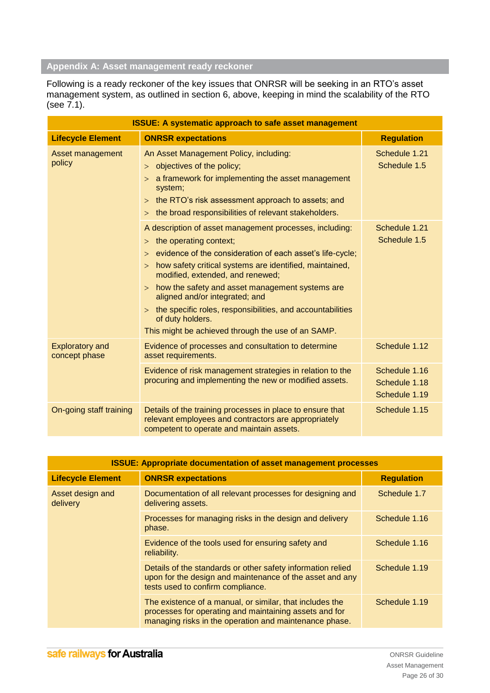# <span id="page-25-0"></span>**Appendix A: Asset management ready reckoner**

Following is a ready reckoner of the key issues that ONRSR will be seeking in an RTO's asset management system, as outlined in section [6,](#page-10-0) above, keeping in mind the scalability of the RTO (see 7.1).

| <b>ISSUE: A systematic approach to safe asset management</b> |                                                                                                                                                                                                                                                                                                                                                                                                                                                                                                           |                                                 |
|--------------------------------------------------------------|-----------------------------------------------------------------------------------------------------------------------------------------------------------------------------------------------------------------------------------------------------------------------------------------------------------------------------------------------------------------------------------------------------------------------------------------------------------------------------------------------------------|-------------------------------------------------|
| <b>Lifecycle Element</b>                                     | <b>ONRSR expectations</b>                                                                                                                                                                                                                                                                                                                                                                                                                                                                                 | <b>Regulation</b>                               |
| Asset management<br>policy                                   | An Asset Management Policy, including:<br>> objectives of the policy;<br>a framework for implementing the asset management<br>$\geq$<br>system;<br>the RTO's risk assessment approach to assets; and<br>$\geq$<br>the broad responsibilities of relevant stakeholders.<br>$\geq$                                                                                                                                                                                                                          | Schedule 1.21<br>Schedule 1.5                   |
|                                                              | A description of asset management processes, including:<br>the operating context;<br>$\gt$<br>evidence of the consideration of each asset's life-cycle;<br>><br>how safety critical systems are identified, maintained,<br>$\gt$<br>modified, extended, and renewed;<br>$>$ how the safety and asset management systems are<br>aligned and/or integrated; and<br>$>$ the specific roles, responsibilities, and accountabilities<br>of duty holders.<br>This might be achieved through the use of an SAMP. | Schedule 1.21<br>Schedule 1.5                   |
| <b>Exploratory and</b><br>concept phase                      | Evidence of processes and consultation to determine<br>asset requirements.                                                                                                                                                                                                                                                                                                                                                                                                                                | Schedule 1.12                                   |
|                                                              | Evidence of risk management strategies in relation to the<br>procuring and implementing the new or modified assets.                                                                                                                                                                                                                                                                                                                                                                                       | Schedule 1.16<br>Schedule 1.18<br>Schedule 1.19 |
| On-going staff training                                      | Details of the training processes in place to ensure that<br>relevant employees and contractors are appropriately<br>competent to operate and maintain assets.                                                                                                                                                                                                                                                                                                                                            | Schedule 1.15                                   |

| <b>ISSUE: Appropriate documentation of asset management processes</b> |                                                                                                                                                                              |                   |
|-----------------------------------------------------------------------|------------------------------------------------------------------------------------------------------------------------------------------------------------------------------|-------------------|
| <b>Lifecycle Element</b>                                              | <b>ONRSR expectations</b>                                                                                                                                                    | <b>Regulation</b> |
| Asset design and<br>delivery                                          | Documentation of all relevant processes for designing and<br>delivering assets.                                                                                              | Schedule 1.7      |
|                                                                       | Processes for managing risks in the design and delivery<br>phase.                                                                                                            | Schedule 1.16     |
|                                                                       | Evidence of the tools used for ensuring safety and<br>reliability.                                                                                                           | Schedule 1.16     |
|                                                                       | Details of the standards or other safety information relied<br>upon for the design and maintenance of the asset and any<br>tests used to confirm compliance.                 | Schedule 1.19     |
|                                                                       | The existence of a manual, or similar, that includes the<br>processes for operating and maintaining assets and for<br>managing risks in the operation and maintenance phase. | Schedule 1.19     |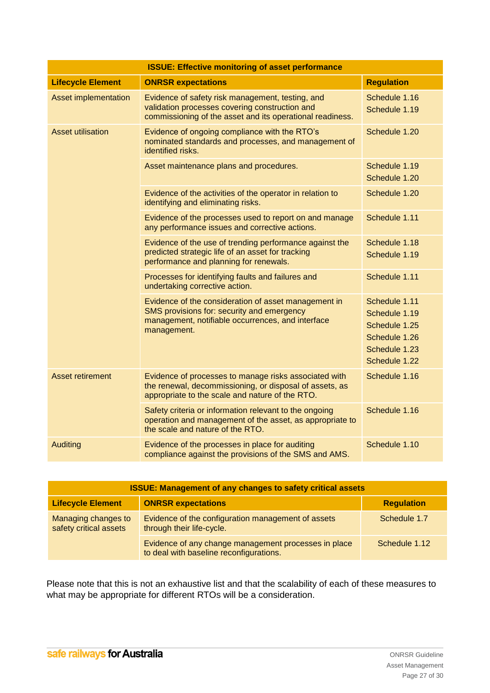| <b>ISSUE: Effective monitoring of asset performance</b> |                                                                                                                                                                        |                                                                                                    |
|---------------------------------------------------------|------------------------------------------------------------------------------------------------------------------------------------------------------------------------|----------------------------------------------------------------------------------------------------|
| <b>Lifecycle Element</b>                                | <b>ONRSR expectations</b>                                                                                                                                              | <b>Regulation</b>                                                                                  |
| Asset implementation                                    | Evidence of safety risk management, testing, and<br>validation processes covering construction and<br>commissioning of the asset and its operational readiness.        | Schedule 1.16<br>Schedule 1.19                                                                     |
| <b>Asset utilisation</b>                                | Evidence of ongoing compliance with the RTO's<br>nominated standards and processes, and management of<br>identified risks.                                             | Schedule 1.20                                                                                      |
|                                                         | Asset maintenance plans and procedures.                                                                                                                                | Schedule 1.19<br>Schedule 1.20                                                                     |
|                                                         | Evidence of the activities of the operator in relation to<br>identifying and eliminating risks.                                                                        | Schedule 1.20                                                                                      |
|                                                         | Evidence of the processes used to report on and manage<br>any performance issues and corrective actions.                                                               | Schedule 1.11                                                                                      |
|                                                         | Evidence of the use of trending performance against the<br>predicted strategic life of an asset for tracking<br>performance and planning for renewals.                 | Schedule 1.18<br>Schedule 1.19                                                                     |
|                                                         | Processes for identifying faults and failures and<br>undertaking corrective action.                                                                                    | Schedule 1.11                                                                                      |
|                                                         | Evidence of the consideration of asset management in<br>SMS provisions for: security and emergency<br>management, notifiable occurrences, and interface<br>management. | Schedule 1.11<br>Schedule 1.19<br>Schedule 1.25<br>Schedule 1.26<br>Schedule 1.23<br>Schedule 1.22 |
| <b>Asset retirement</b>                                 | Evidence of processes to manage risks associated with<br>the renewal, decommissioning, or disposal of assets, as<br>appropriate to the scale and nature of the RTO.    | Schedule 1.16                                                                                      |
|                                                         | Safety criteria or information relevant to the ongoing<br>operation and management of the asset, as appropriate to<br>the scale and nature of the RTO.                 | Schedule 1.16                                                                                      |
| <b>Auditing</b>                                         | Evidence of the processes in place for auditing<br>compliance against the provisions of the SMS and AMS.                                                               | Schedule 1.10                                                                                      |

| <b>ISSUE: Management of any changes to safety critical assets</b> |                                                                                                 |                   |
|-------------------------------------------------------------------|-------------------------------------------------------------------------------------------------|-------------------|
| <b>Lifecycle Element</b>                                          | <b>ONRSR expectations</b>                                                                       | <b>Regulation</b> |
| Managing changes to<br>safety critical assets                     | Evidence of the configuration management of assets<br>through their life-cycle.                 | Schedule 1.7      |
|                                                                   | Evidence of any change management processes in place<br>to deal with baseline reconfigurations. | Schedule 1.12     |

Please note that this is not an exhaustive list and that the scalability of each of these measures to what may be appropriate for different RTOs will be a consideration.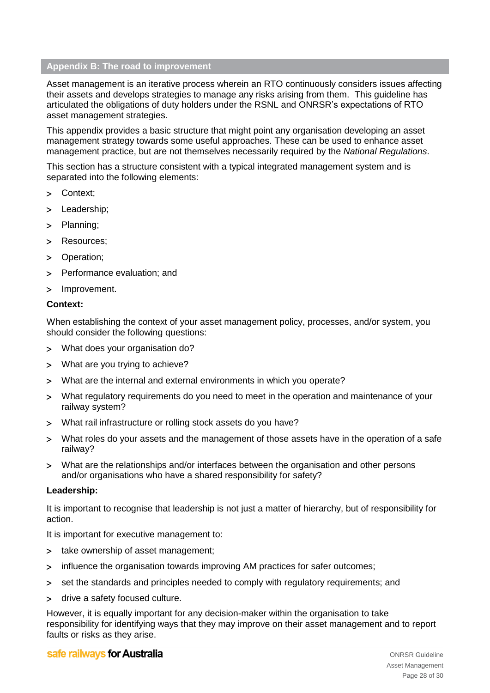## <span id="page-27-0"></span>**Appendix B: The road to improvement**

Asset management is an iterative process wherein an RTO continuously considers issues affecting their assets and develops strategies to manage any risks arising from them. This guideline has articulated the obligations of duty holders under the RSNL and ONRSR's expectations of RTO asset management strategies.

This appendix provides a basic structure that might point any organisation developing an asset management strategy towards some useful approaches. These can be used to enhance asset management practice, but are not themselves necessarily required by the *National Regulations*.

This section has a structure consistent with a typical integrated management system and is separated into the following elements:

- > Context;
- > Leadership;
- > Planning;
- > Resources:
- > Operation;
- > Performance evaluation: and
- > Improvement.

## **Context:**

When establishing the context of your asset management policy, processes, and/or system, you should consider the following questions:

- What does your organisation do?
- What are you trying to achieve?
- What are the internal and external environments in which you operate?
- What regulatory requirements do you need to meet in the operation and maintenance of your railway system?
- What rail infrastructure or rolling stock assets do you have?
- What roles do your assets and the management of those assets have in the operation of a safe railway?
- What are the relationships and/or interfaces between the organisation and other persons and/or organisations who have a shared responsibility for safety?

## **Leadership:**

It is important to recognise that leadership is not just a matter of hierarchy, but of responsibility for action.

It is important for executive management to:

- > take ownership of asset management;
- > influence the organisation towards improving AM practices for safer outcomes;
- set the standards and principles needed to comply with regulatory requirements; and
- > drive a safety focused culture.

However, it is equally important for any decision-maker within the organisation to take responsibility for identifying ways that they may improve on their asset management and to report faults or risks as they arise.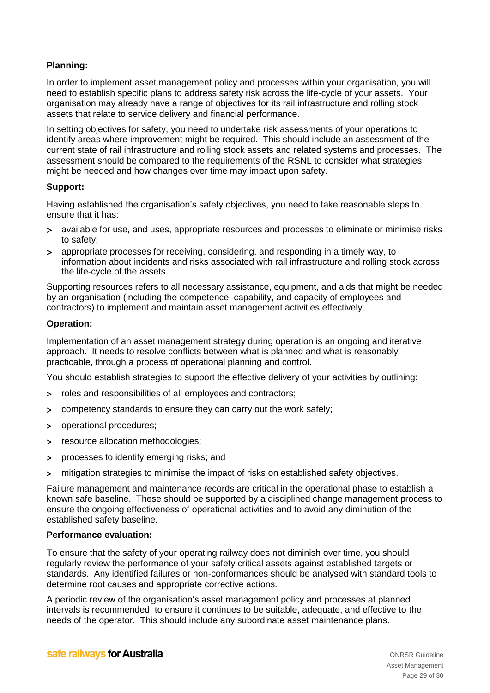## **Planning:**

In order to implement asset management policy and processes within your organisation, you will need to establish specific plans to address safety risk across the life-cycle of your assets. Your organisation may already have a range of objectives for its rail infrastructure and rolling stock assets that relate to service delivery and financial performance.

In setting objectives for safety, you need to undertake risk assessments of your operations to identify areas where improvement might be required. This should include an assessment of the current state of rail infrastructure and rolling stock assets and related systems and processes. The assessment should be compared to the requirements of the RSNL to consider what strategies might be needed and how changes over time may impact upon safety.

## **Support:**

Having established the organisation's safety objectives, you need to take reasonable steps to ensure that it has:

- available for use, and uses, appropriate resources and processes to eliminate or minimise risks to safety;
- appropriate processes for receiving, considering, and responding in a timely way, to information about incidents and risks associated with rail infrastructure and rolling stock across the life-cycle of the assets.

Supporting resources refers to all necessary assistance, equipment, and aids that might be needed by an organisation (including the competence, capability, and capacity of employees and contractors) to implement and maintain asset management activities effectively.

## **Operation:**

Implementation of an asset management strategy during operation is an ongoing and iterative approach. It needs to resolve conflicts between what is planned and what is reasonably practicable, through a process of operational planning and control.

You should establish strategies to support the effective delivery of your activities by outlining:

- roles and responsibilities of all employees and contractors;
- competency standards to ensure they can carry out the work safely;
- operational procedures;
- > resource allocation methodologies;
- processes to identify emerging risks; and
- mitigation strategies to minimise the impact of risks on established safety objectives.

Failure management and maintenance records are critical in the operational phase to establish a known safe baseline. These should be supported by a disciplined change management process to ensure the ongoing effectiveness of operational activities and to avoid any diminution of the established safety baseline.

## **Performance evaluation:**

To ensure that the safety of your operating railway does not diminish over time, you should regularly review the performance of your safety critical assets against established targets or standards. Any identified failures or non-conformances should be analysed with standard tools to determine root causes and appropriate corrective actions.

A periodic review of the organisation's asset management policy and processes at planned intervals is recommended, to ensure it continues to be suitable, adequate, and effective to the needs of the operator. This should include any subordinate asset maintenance plans.